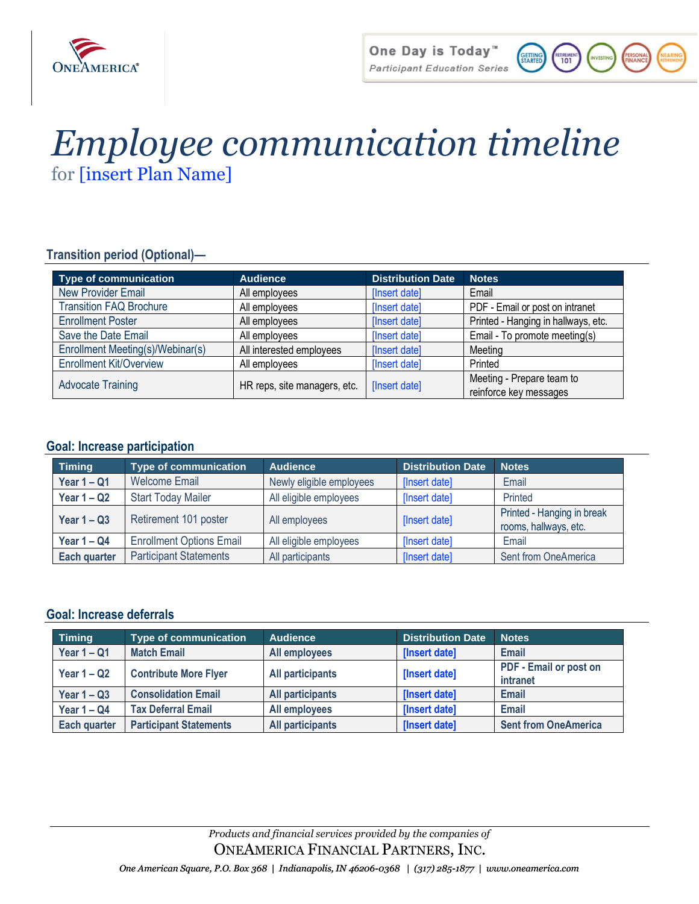

101

# *Employee communication timeline*  for [insert Plan Name]

#### **Transition period (Optional)—**

| <b>Type of communication</b>     | <b>Audience</b>              | <b>Distribution Date</b> | <b>Notes</b>                                        |
|----------------------------------|------------------------------|--------------------------|-----------------------------------------------------|
| <b>New Provider Email</b>        | All employees                | [Insert date]            | Email                                               |
| <b>Transition FAQ Brochure</b>   | All employees                | [Insert date]            | PDF - Email or post on intranet                     |
| <b>Enrollment Poster</b>         | All employees                | [Insert date]            | Printed - Hanging in hallways, etc.                 |
| Save the Date Email              | All employees                | [Insert date]            | Email - To promote meeting(s)                       |
| Enrollment Meeting(s)/Webinar(s) | All interested employees     | [Insert date]            | Meeting                                             |
| <b>Enrollment Kit/Overview</b>   | All employees                | [Insert date]            | Printed                                             |
| <b>Advocate Training</b>         | HR reps, site managers, etc. | [Insert date]            | Meeting - Prepare team to<br>reinforce key messages |

#### **Goal: Increase participation**

| <b>Timing</b> | <b>Type of communication</b>    | <b>Audience</b>          | <b>Distribution Date</b> | <b>Notes</b>                                        |
|---------------|---------------------------------|--------------------------|--------------------------|-----------------------------------------------------|
| Year $1 - Q1$ | <b>Welcome Email</b>            | Newly eligible employees | [Insert date]            | Email                                               |
| Year $1 - Q2$ | <b>Start Today Mailer</b>       | All eligible employees   | [Insert date]            | Printed                                             |
| Year $1 - Q3$ | Retirement 101 poster           | All employees            | [Insert date]            | Printed - Hanging in break<br>rooms, hallways, etc. |
| Year $1 - QA$ | <b>Enrollment Options Email</b> | All eligible employees   | [Insert date]            | Email                                               |
| Each quarter  | <b>Participant Statements</b>   | All participants         | [Insert date]            | Sent from OneAmerica                                |

## **Goal: Increase deferrals**

| <b>Timing</b> | <b>Type of communication</b>  | <b>Audience</b>         | <b>Distribution Date</b> | <b>Notes</b>                              |
|---------------|-------------------------------|-------------------------|--------------------------|-------------------------------------------|
| Year $1 - Q1$ | <b>Match Email</b>            | All employees           | [Insert date]            | <b>Email</b>                              |
| Year $1 - Q2$ | <b>Contribute More Flyer</b>  | <b>All participants</b> | [Insert date]            | PDF - Email or post on<br><b>intranet</b> |
| Year $1 - Q3$ | <b>Consolidation Email</b>    | <b>All participants</b> | [Insert date]            | <b>Email</b>                              |
| Year $1 - QA$ | <b>Tax Deferral Email</b>     | All employees           | [Insert date]            | <b>Email</b>                              |
| Each quarter  | <b>Participant Statements</b> | <b>All participants</b> | [Insert date]            | <b>Sent from OneAmerica</b>               |

 *One American Square, P.O. Box 368 | Indianapolis, IN 46206-0368 | (317) 285-1877 | <www.oneamerica.com> 368 Indianapolis, IN | 285-1877 www.oneamerica.com*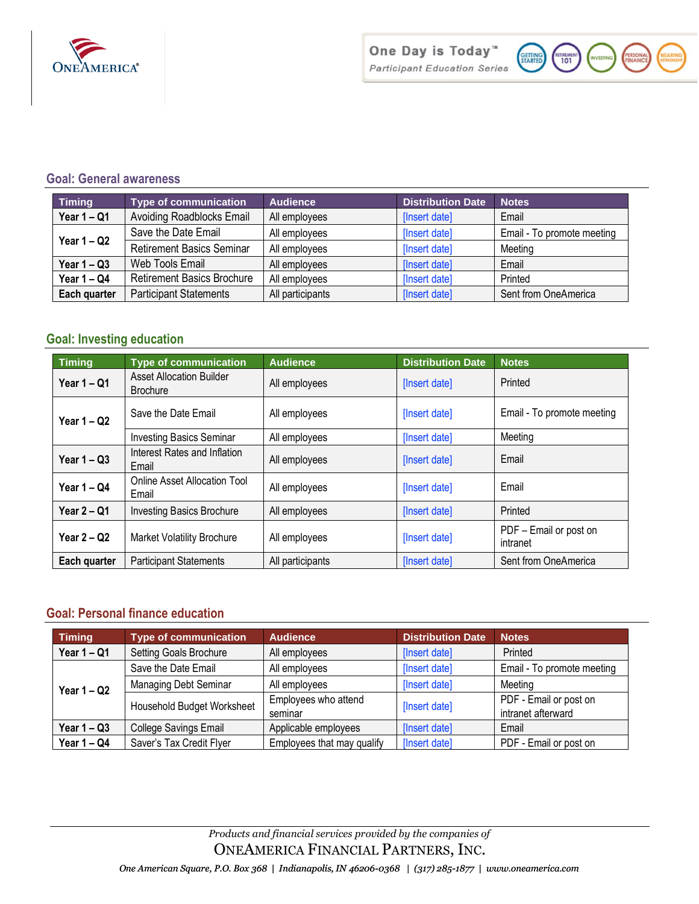



## **Goal: General awareness**

| <b>Timing</b> | <b>Type of communication</b>      | <b>Audience</b>  | <b>Distribution Date</b> | <b>Notes</b>               |
|---------------|-----------------------------------|------------------|--------------------------|----------------------------|
| Year $1 - Q1$ | Avoiding Roadblocks Email         | All employees    | [Insert date]            | Email                      |
|               | Save the Date Email               | All employees    | [Insert date]            | Email - To promote meeting |
| Year $1 - Q2$ | <b>Retirement Basics Seminar</b>  | All employees    | [Insert date]            | Meeting                    |
| Year $1 - Q3$ | Web Tools Email                   | All employees    | [Insert date]            | Email                      |
| Year $1 - QA$ | <b>Retirement Basics Brochure</b> | All employees    | [Insert date]            | Printed                    |
| Each quarter  | <b>Participant Statements</b>     | All participants | [Insert date]            | Sent from OneAmerica       |

#### **Goal: Investing education**

| <b>Timing</b> | <b>Type of communication</b>                       | <b>Audience</b>  | <b>Distribution Date</b> | <b>Notes</b>                       |
|---------------|----------------------------------------------------|------------------|--------------------------|------------------------------------|
| Year $1 - Q1$ | <b>Asset Allocation Builder</b><br><b>Brochure</b> | All employees    | [Insert date]            | Printed                            |
| Year $1 - Q2$ | Save the Date Email                                | All employees    | [Insert date]            | Email - To promote meeting         |
|               | <b>Investing Basics Seminar</b>                    | All employees    | [Insert date]            | Meeting                            |
| Year $1 - Q3$ | Interest Rates and Inflation<br>Email              | All employees    | [Insert date]            | Email                              |
| Year $1 - QA$ | <b>Online Asset Allocation Tool</b><br>Email       | All employees    | [Insert date]            | Email                              |
| Year $2 - Q1$ | <b>Investing Basics Brochure</b>                   | All employees    | [Insert date]            | Printed                            |
| Year $2 - Q2$ | Market Volatility Brochure                         | All employees    | [Insert date]            | PDF - Email or post on<br>intranet |
| Each quarter  | <b>Participant Statements</b>                      | All participants | [Insert date]            | Sent from OneAmerica               |

## **Goal: Personal finance education**

| <b>Timing</b> | <b>Type of communication</b> | <b>Audience</b>            | <b>Distribution Date</b> | <b>Notes</b>               |
|---------------|------------------------------|----------------------------|--------------------------|----------------------------|
| Year $1 - Q1$ | Setting Goals Brochure       | All employees              | [Insert date]            | Printed                    |
|               | Save the Date Email          | All employees              | [Insert date]            | Email - To promote meeting |
| Year $1 - Q2$ | Managing Debt Seminar        | All employees              | [Insert date]            | Meeting                    |
|               | Household Budget Worksheet   | Employees who attend       | [Insert date]            | PDF - Email or post on     |
|               |                              | seminar                    |                          | intranet afterward         |
| Year $1 - Q3$ | College Savings Email        | Applicable employees       | [Insert date]            | Email                      |
| Year $1 - Q4$ | Saver's Tax Credit Flyer     | Employees that may qualify | [Insert date]            | PDF - Email or post on     |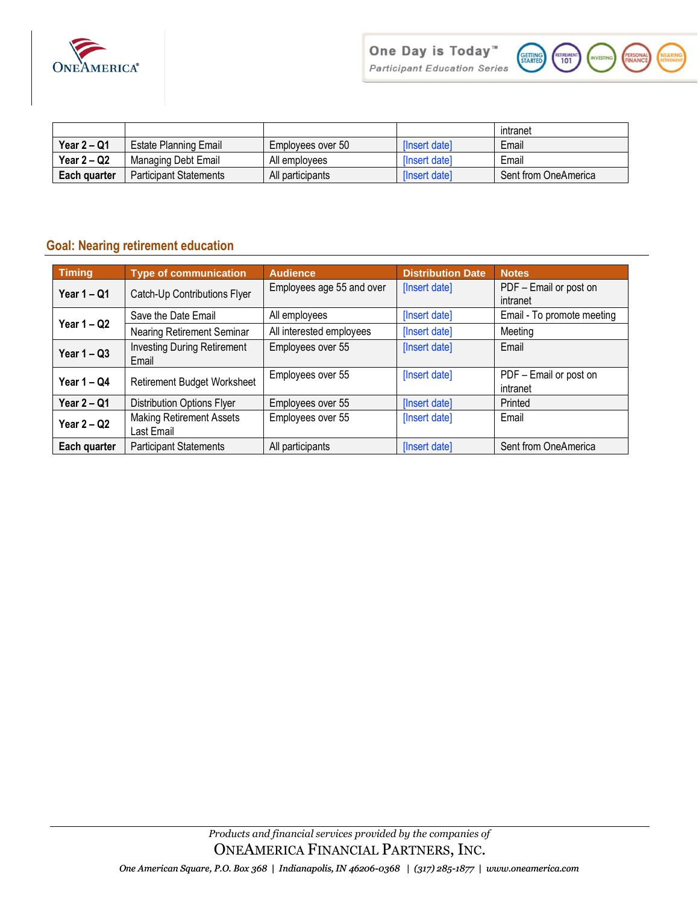



|               |                               |                   |                      | intranet             |
|---------------|-------------------------------|-------------------|----------------------|----------------------|
| Year $2 - Q1$ | Estate Planning Email         | Employees over 50 | <b>Ilnsert datel</b> | Email                |
| Year $2 - Q2$ | Managing Debt Email           | All employees     | <b>Insert datel</b>  | Email                |
| Each guarter  | <b>Participant Statements</b> | All participants  | <b>Insert datel</b>  | Sent from OneAmerica |

# **Goal: Nearing retirement education**

| <b>Timing</b> | <b>Type of communication</b>                  | <b>Audience</b>           | <b>Distribution Date</b> | <b>Notes</b>                       |
|---------------|-----------------------------------------------|---------------------------|--------------------------|------------------------------------|
| Year $1 - Q1$ | Catch-Up Contributions Flyer                  | Employees age 55 and over | [Insert date]            | PDF - Email or post on<br>intranet |
| Year $1 - Q2$ | Save the Date Email                           | All employees             | [Insert date]            | Email - To promote meeting         |
|               | Nearing Retirement Seminar                    | All interested employees  | [Insert date]            | Meeting                            |
| Year $1 - Q3$ | <b>Investing During Retirement</b><br>Email   | Employees over 55         | [Insert date]            | Email                              |
| Year $1 - QA$ | <b>Retirement Budget Worksheet</b>            | Employees over 55         | [Insert date]            | PDF - Email or post on<br>intranet |
| Year $2 - Q1$ | <b>Distribution Options Flyer</b>             | Employees over 55         | [Insert date]            | Printed                            |
| Year $2 - Q2$ | <b>Making Retirement Assets</b><br>Last Email | Employees over 55         | [Insert date]            | Email                              |
| Each quarter  | <b>Participant Statements</b>                 | All participants          | [Insert date]            | Sent from OneAmerica               |